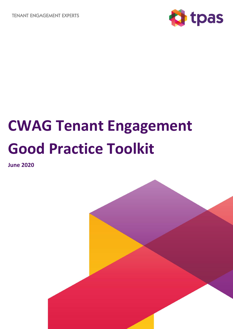**TENANT ENGAGEMENT EXPERTS** 



# **CWAG Tenant Engagement Good Practice Toolkit**

**June 2020**

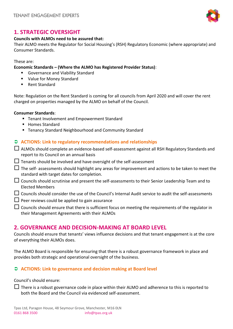

# **1. STRATEGIC OVERSIGHT**

## **Councils with ALMOs need to be assured that:**

Their ALMO meets the Regulator for Social Housing's (RSH) Regulatory Economic (where appropriate) and Consumer Standards.

#### These are:

**Economic Standards – (Where the ALMO has Registered Provider Status)**:

- Governance and Viability Standard
- Value for Money Standard
- Rent Standard

Note: Regulation on the Rent Standard is coming for all councils from April 2020 and will cover the rent charged on properties managed by the ALMO on behalf of the Council.

#### **Consumer Standards**:

- Tenant Involvement and Empowerment Standard
- Homes Standard
- Tenancy Standard Neighbourhood and Community Standard

#### **ACTIONS: Link to regulatory recommendations and relationships**

| $\Box$ ALMOs should complete an evidence-based self-assessment against all RSH Regulatory Standards and |
|---------------------------------------------------------------------------------------------------------|
| report to its Council on an annual basis                                                                |

- $\Box$  Tenants should be involved and have oversight of the self-assessment
- $\Box$  The self- assessments should highlight any areas for improvement and actions to be taken to meet the standard with target dates for completion.
- Councils should scrutinise and present the self-assessments to their Senior Leadership Team and to Elected Members
- $\Box$  Councils should consider the use of the Council's Internal Audit service to audit the self-assessments
- $\Box$  Peer reviews could be applied to gain assurance
- $\Box$  Councils should ensure that there is sufficient focus on meeting the requirements of the regulator in their Management Agreements with their ALMOs

## **2. GOVERNANCE AND DECISION-MAKING AT BOARD LEVEL**

Councils should ensure that tenants' views influence decisions and that tenant engagement is at the core of everything their ALMOs does.

The ALMO Board is responsible for ensuring that there is a robust governance framework in place and provides both strategic and operational oversight of the business.

### **ACTIONS: Link to governance and decision making at Board level**

Council's should ensure:

 $\Box$  There is a robust governance code in place within their ALMO and adherence to this is reported to both the Board and the Council via evidenced self-assessment.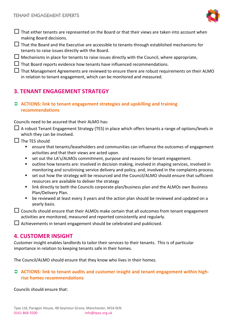

- $\Box$  That either tenants are represented on the Board or that their views are taken into account when making Board decisions.
- $\Box$  That the Board and the Executive are accessible to tenants through established mechanisms for tenants to raise issues directly with the Board.
- $\Box$  Mechanisms in place for tenants to raise issues directly with the Council, where appropriate,
- $\Box$  That Board reports evidence how tenants have influenced recommendations.
- $\Box$  That Management Agreements are reviewed to ensure there are robust requirements on their ALMO in relation to tenant engagement, which can be monitored and measured.

# **3. TENANT ENGAGEMENT STRATEGY**

 **ACTIONS: link to tenant engagement strategies and upskilling and training recommendations**

Councils need to be assured that their ALMO has:

- $\Box$  A robust Tenant Engagement Strategy (TES) in place which offers tenants a range of options/levels in which they can be involved.
- $\Box$  The TES should
	- ensure that tenants/leaseholders and communities can influence the outcomes of engagement activities and that their views are acted upon.
	- set out the LA's/ALMOs commitment, purpose and reasons for tenant engagement.
	- outline how tenants are: involved in decision making, involved in shaping services, involved in monitoring and scrutinising service delivery and policy, and, involved in the complaints process.
	- set out how the strategy will be resourced and the Council/ALMO should ensure that sufficient resources are available to deliver the strategy
	- link directly to both the Councils corporate plan/business plan and the ALMOs own Business Plan/Delivery Plan.
	- be reviewed at least every 3 years and the action plan should be reviewed and updated on a yearly basis.
- $\Box$  Councils should ensure that their ALMOs make certain that all outcomes from tenant engagement activities are monitored, measured and reported consistently and regularly.

 $\Box$  Achievements in tenant engagement should be celebrated and publicised.

## **4. CUSTOMER INSIGHT**

Customer insight enables landlords to tailor their services to their tenants. This is of particular importance in relation to keeping tenants safe in their homes.

The Council/ALMO should ensure that they know who lives in their homes.

## ○ ACTIONS: link to tenant audits and customer insight and tenant engagement within high**rise homes recommendations**

Councils should ensure that: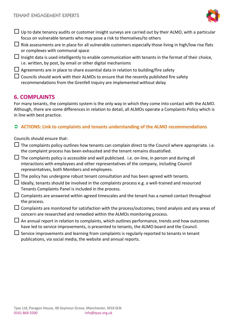

- $\Box$  Up to date tenancy audits or customer insight surveys are carried out by their ALMO, with a particular focus on vulnerable tenants who may pose a risk to themselves/to others
- $\Box$  Risk assessments are in place for all vulnerable customers especially those living in high/low rise flats or complexes with communal space
- Insight data is used intelligently to enable communication with tenants in the format of their choice, i.e. written, by post, by email or other digital mechanisms
- $\Box$  Agreements are in place to share essential data in relation to building/fire safety
- $\Box$  Councils should work with their ALMOs to ensure that the recently published fire safety recommendations from the Grenfell Inquiry are implemented without delay

## **6. COMPLAINTS**

For many tenants, the complaints system is the only way in which they come into contact with the ALMO. Although, there are some differences in relation to detail, all ALMOs operate a Complaints Policy which is in line with best practice.

## **ACTIONS: Link to complaints and tenants understanding of the ALMO recommendations**

Councils should ensure that:

- $\Box$  The complaints policy outlines how tenants can complain direct to the Council where appropriate. i.e. the complaint process has been exhausted and the tenant remains dissatisfied.
- $\Box$  The complaints policy is accessible and well publicised. i.e. on-line, in person and during all interactions with employees and other representatives of the company, including Council representatives, both Members and employees.
- $\Box$  The policy has undergone robust tenant consultation and has been agreed with tenants.
- Ideally, tenants should be involved in the complaints process e.g. a well-trained and resourced Tenants Complaints Panel is included in the process.
- $\Box$  Complaints are answered within agreed timescales and the tenant has a named contact throughout the process.
- $\Box$  Complaints are monitored for satisfaction with the process/outcomes, trend analysis and any areas of concern are researched and remedied within the ALMOs monitoring process.
- $\Box$  An annual report in relation to complaints, which outlines performance, trends and how outcomes have led to service improvements, is presented to tenants, the ALMO board and the Council.
- $\Box$  Service improvements and learning from complaints is regularly reported to tenants in tenant publications, via social media, the website and annual reports.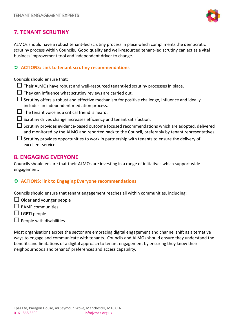

# **7. TENANT SCRUTINY**

ALMOs should have a robust tenant-led scrutiny process in place which compliments the democratic scrutiny process within Councils. Good quality and well-resourced tenant-led scrutiny can act as a vital business improvement tool and independent driver to change.

#### **ACTIONS: Link to tenant scrutiny recommendations**

Councils should ensure that:

- $\Box$  Their ALMOs have robust and well-resourced tenant-led scrutiny processes in place.
- $\Box$  They can influence what scrutiny reviews are carried out.
- $\Box$  Scrutiny offers a robust and effective mechanism for positive challenge, influence and ideally includes an independent mediation process.
- $\Box$  The tenant voice as a critical friend is heard.
- $\Box$  Scrutiny drives change increases efficiency and tenant satisfaction.
- $\Box$  Scrutiny provides evidence-based outcome focused recommendations which are adopted, delivered and monitored by the ALMO and reported back to the Council, preferably by tenant representatives.
- $\Box$  Scrutiny provides opportunities to work in partnership with tenants to ensure the delivery of excellent service.

## **8. ENGAGING EVERYONE**

Councils should ensure that their ALMOs are investing in a range of initiatives which support wide engagement.

### **ACTIONS: link to Engaging Everyone recommendations**

Councils should ensure that tenant engagement reaches all within communities, including:

- $\Box$  Older and younger people
- $\Box$  BAME communities
- $\Box$  LGBTI people
- $\Box$  People with disabilities

Most organisations across the sector are embracing digital engagement and channel shift as alternative ways to engage and communicate with tenants. Councils and ALMOs should ensure they understand the benefits and limitations of a digital approach to tenant engagement by ensuring they know their neighbourhoods and tenants' preferences and access capability.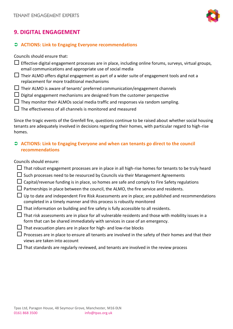

## **9. DIGITAL ENGAGEMENT**

#### **ACTIONS: Link to Engaging Everyone recommendations**

Councils should ensure that:

- $\Box$  Effective digital engagement processes are in place, including online forums, surveys, virtual groups, email communications and appropriate use of social media
- $\Box$  Their ALMO offers digital engagement as part of a wider suite of engagement tools and not a replacement for more traditional mechanisms
- $\Box$  Their ALMO is aware of tenants' preferred communication/engagement channels
- $\Box$  Digital engagement mechanisms are designed from the customer perspective
- $\Box$  They monitor their ALMOs social media traffic and responses via random sampling.
- $\square$  The effectiveness of all channels is monitored and measured

Since the tragic events of the Grenfell fire, questions continue to be raised about whether social housing tenants are adequately involved in decisions regarding their homes, with particular regard to high-rise homes.

## **ACTIONS: Link to Engaging Everyone and when can tenants go direct to the council recommendations**

#### Councils should ensure:

- $\Box$  That robust engagement processes are in place in all high-rise homes for tenants to be truly heard
- $\Box$  Such processes need to be resourced by Councils via their Management Agreements
- $\Box$  Capital/revenue funding is in place, so homes are safe and comply to Fire Safety regulations
- $\Box$  Partnerships in place between the council, the ALMO, the fire service and residents.
- $\Box$  Up to date and independent Fire Risk Assessments are in place; are published and recommendations completed in a timely manner and this process is robustly monitored
- $\Box$  That information on building and fire safety is fully accessible to all residents.
- $\Box$  That risk assessments are in place for all vulnerable residents and those with mobility issues in a form that can be shared immediately with services in case of an emergency.
- $\Box$  That evacuation plans are in place for high- and low-rise blocks
- $\Box$  Processes are in place to ensure all tenants are involved in the safety of their homes and that their views are taken into account
- $\Box$  That standards are regularly reviewed, and tenants are involved in the review process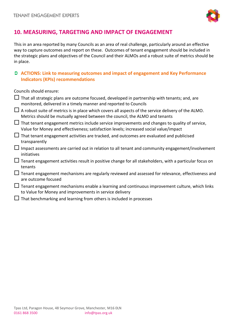

# **10. MEASURING, TARGETING AND IMPACT OF ENGAGEMENT**

This in an area reported by many Councils as an area of real challenge, particularly around an effective way to capture outcomes and report on these. Outcomes of tenant engagement should be included in the strategic plans and objectives of the Council and their ALMOs and a robust suite of metrics should be in place.

## **ACTIONS: Link to measuring outcomes and impact of engagement and Key Performance Indicators (KPIs) recommendations**

Councils should ensure:

|        | That all strategic plans are outcome focused, developed in partnership with tenants; and, are<br>monitored, delivered in a timely manner and reported to Councils                              |
|--------|------------------------------------------------------------------------------------------------------------------------------------------------------------------------------------------------|
|        | A robust suite of metrics is in place which covers all aspects of the service delivery of the ALMO.<br>Metrics should be mutually agreed between the council, the ALMO and tenants             |
|        | $\Box$ That tenant engagement metrics include service improvements and changes to quality of service,<br>Value for Money and effectiveness; satisfaction levels; increased social value/impact |
| Ш      | That tenant engagement activities are tracked, and outcomes are evaluated and publicised<br>transparently                                                                                      |
| $\Box$ | Impact assessments are carried out in relation to all tenant and community engagement/involvement<br>initiatives                                                                               |
|        | $\Box$ Tenant engagement activities result in positive change for all stakeholders, with a particular focus on<br>tenants                                                                      |
|        | Tenant engagement mechanisms are regularly reviewed and assessed for relevance, effectiveness and<br>are outcome focused                                                                       |
|        | $\Box$ Tenant engagement mechanisms enable a learning and continuous improvement culture, which links<br>to Value for Money and improvements in service delivery                               |
|        | That benchmarking and learning from others is included in processes                                                                                                                            |